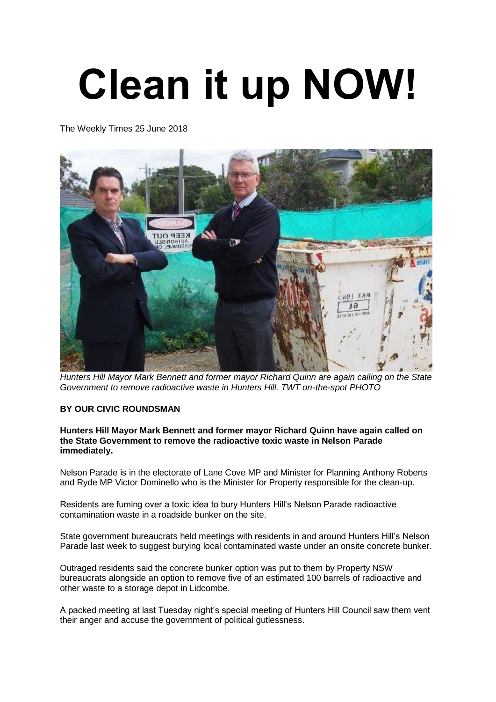## **Clean it up NOW!**

The Weekly Times 25 June 2018



*Hunters Hill Mayor Mark Bennett and former mayor Richard Quinn are again calling on the State Government to remove radioactive waste in Hunters Hill. TWT on-the-spot PHOTO*

## **BY OUR CIVIC ROUNDSMAN**

## **Hunters Hill Mayor Mark Bennett and former mayor Richard Quinn have again called on the State Government to remove the radioactive toxic waste in Nelson Parade immediately.**

Nelson Parade is in the electorate of Lane Cove MP and Minister for Planning Anthony Roberts and Ryde MP Victor Dominello who is the Minister for Property responsible for the clean-up.

Residents are fuming over a toxic idea to bury Hunters Hill's Nelson Parade radioactive contamination waste in a roadside bunker on the site.

State government bureaucrats held meetings with residents in and around Hunters Hill's Nelson Parade last week to suggest burying local contaminated waste under an onsite concrete bunker.

Outraged residents said the concrete bunker option was put to them by Property NSW bureaucrats alongside an option to remove five of an estimated 100 barrels of radioactive and other waste to a storage depot in Lidcombe.

A packed meeting at last Tuesday night's special meeting of Hunters Hill Council saw them vent their anger and accuse the government of political gutlessness.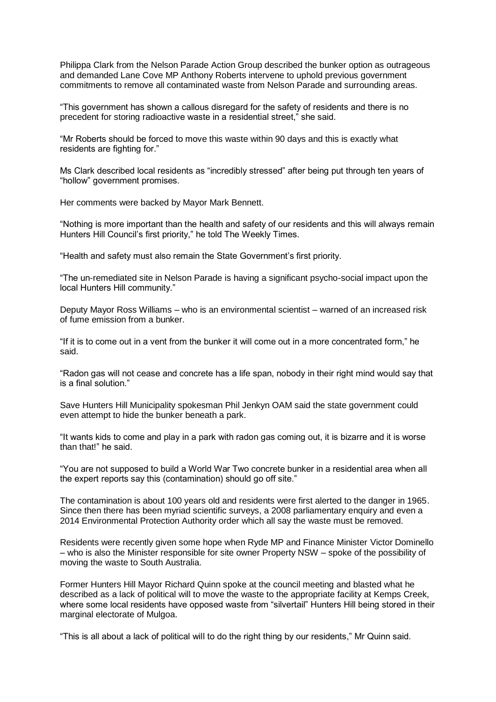Philippa Clark from the Nelson Parade Action Group described the bunker option as outrageous and demanded Lane Cove MP Anthony Roberts intervene to uphold previous government commitments to remove all contaminated waste from Nelson Parade and surrounding areas.

"This government has shown a callous disregard for the safety of residents and there is no precedent for storing radioactive waste in a residential street," she said.

"Mr Roberts should be forced to move this waste within 90 days and this is exactly what residents are fighting for."

Ms Clark described local residents as "incredibly stressed" after being put through ten years of "hollow" government promises.

Her comments were backed by Mayor Mark Bennett.

"Nothing is more important than the health and safety of our residents and this will always remain Hunters Hill Council's first priority," he told The Weekly Times.

"Health and safety must also remain the State Government's first priority.

"The un-remediated site in Nelson Parade is having a significant psycho-social impact upon the local Hunters Hill community."

Deputy Mayor Ross Williams – who is an environmental scientist – warned of an increased risk of fume emission from a bunker.

"If it is to come out in a vent from the bunker it will come out in a more concentrated form," he said.

"Radon gas will not cease and concrete has a life span, nobody in their right mind would say that is a final solution."

Save Hunters Hill Municipality spokesman Phil Jenkyn OAM said the state government could even attempt to hide the bunker beneath a park.

"It wants kids to come and play in a park with radon gas coming out, it is bizarre and it is worse than that!" he said.

"You are not supposed to build a World War Two concrete bunker in a residential area when all the expert reports say this (contamination) should go off site."

The contamination is about 100 years old and residents were first alerted to the danger in 1965. Since then there has been myriad scientific surveys, a 2008 parliamentary enquiry and even a 2014 Environmental Protection Authority order which all say the waste must be removed.

Residents were recently given some hope when Ryde MP and Finance Minister Victor Dominello – who is also the Minister responsible for site owner Property NSW – spoke of the possibility of moving the waste to South Australia.

Former Hunters Hill Mayor Richard Quinn spoke at the council meeting and blasted what he described as a lack of political will to move the waste to the appropriate facility at Kemps Creek, where some local residents have opposed waste from "silvertail" Hunters Hill being stored in their marginal electorate of Mulgoa.

"This is all about a lack of political will to do the right thing by our residents," Mr Quinn said.